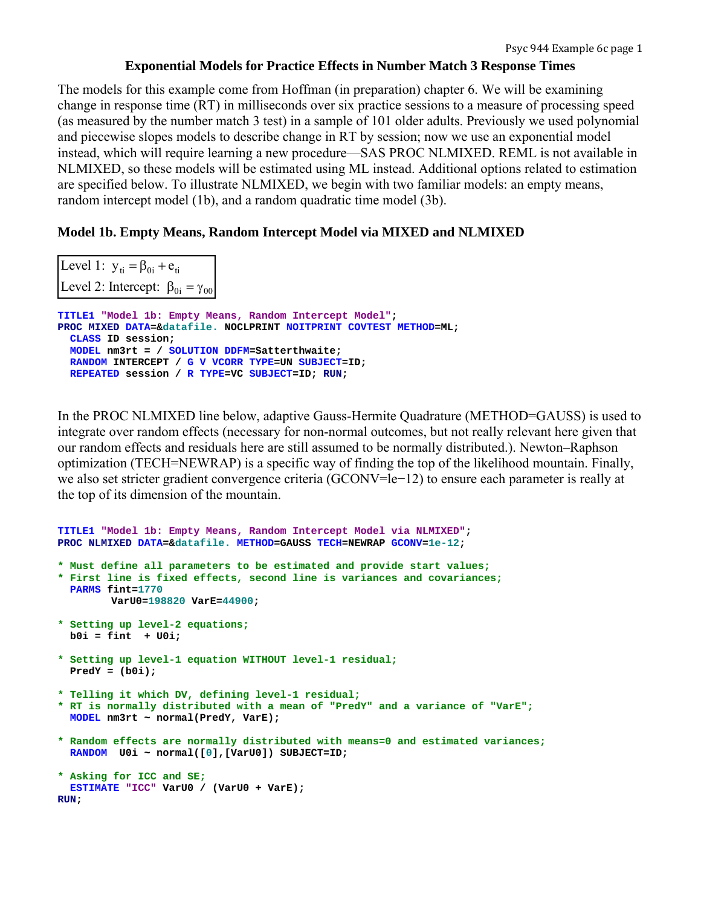# **Exponential Models for Practice Effects in Number Match 3 Response Times**

The models for this example come from Hoffman (in preparation) chapter 6. We will be examining change in response time (RT) in milliseconds over six practice sessions to a measure of processing speed (as measured by the number match 3 test) in a sample of 101 older adults. Previously we used polynomial and piecewise slopes models to describe change in RT by session; now we use an exponential model instead, which will require learning a new procedure—SAS PROC NLMIXED. REML is not available in NLMIXED, so these models will be estimated using ML instead. Additional options related to estimation are specified below. To illustrate NLMIXED, we begin with two familiar models: an empty means, random intercept model (1b), and a random quadratic time model (3b).

# **Model 1b. Empty Means, Random Intercept Model via MIXED and NLMIXED**

| Level 1: $y_{ti} = \beta_{0i} + e_{ti}$        |                                                                   |
|------------------------------------------------|-------------------------------------------------------------------|
| Level 2: Intercept: $\beta_{0i} = \gamma_{00}$ |                                                                   |
|                                                | TITLE1 "Model 1b: Empty Means, Random Intercept Model";           |
| CLASS ID session:                              | PROC MIXED DATA=&datafile. NOCLPRINT NOITPRINT COVTEST METHOD=ML; |
| MODEL nm3rt = / SOLUTION DDFM=Satterthwaite;   |                                                                   |
|                                                | RANDOM INTERCEPT / G V VCORR TYPE=UN SUBJECT=ID;                  |
| REPEATED session / R TYPE=VC SUBJECT=ID: RUN:  |                                                                   |

In the PROC NLMIXED line below, adaptive Gauss-Hermite Quadrature (METHOD=GAUSS) is used to integrate over random effects (necessary for non-normal outcomes, but not really relevant here given that our random effects and residuals here are still assumed to be normally distributed.). Newton–Raphson optimization (TECH=NEWRAP) is a specific way of finding the top of the likelihood mountain. Finally, we also set stricter gradient convergence criteria (GCONV=le−12) to ensure each parameter is really at the top of its dimension of the mountain.

```
TITLE1 "Model 1b: Empty Means, Random Intercept Model via NLMIXED"; 
PROC NLMIXED DATA=&datafile. METHOD=GAUSS TECH=NEWRAP GCONV=1e-12; 
* Must define all parameters to be estimated and provide start values;
* First line is fixed effects, second line is variances and covariances;
   PARMS fint=1770 
         VarU0=198820 VarE=44900; 
* Setting up level-2 equations;
   b0i = fint + U0i; 
* Setting up level-1 equation WITHOUT level-1 residual;
   PredY = (b0i); 
* Telling it which DV, defining level-1 residual;
* RT is normally distributed with a mean of "PredY" and a variance of "VarE";
   MODEL nm3rt ~ normal(PredY, VarE); 
* Random effects are normally distributed with means=0 and estimated variances;
   RANDOM U0i ~ normal([0],[VarU0]) SUBJECT=ID; 
* Asking for ICC and SE;
  ESTIMATE "ICC" VarU0 / (VarU0 + VarE); 
RUN;
```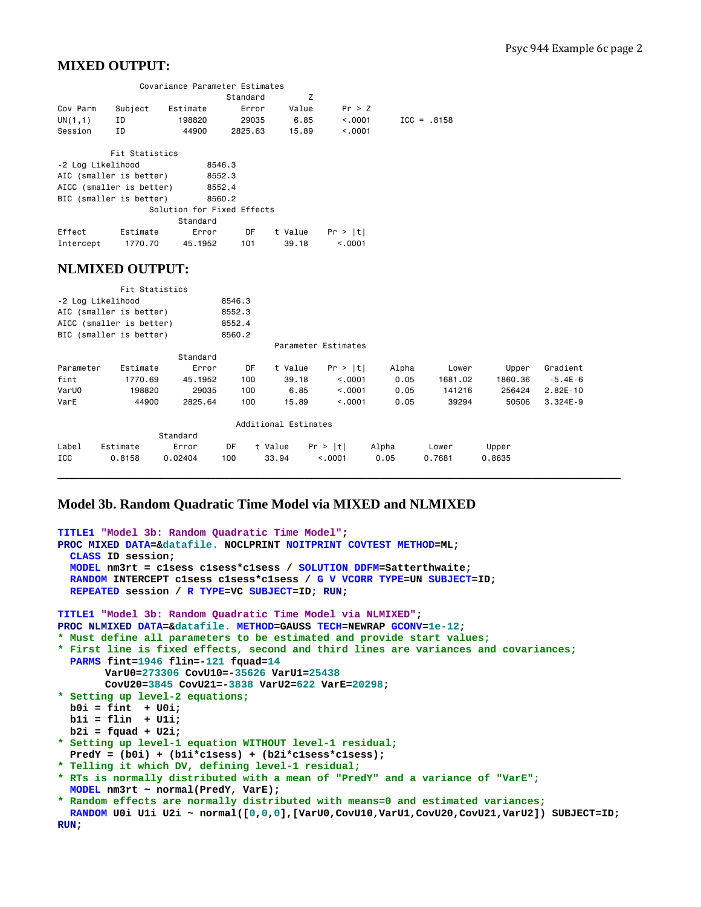# **MIXED OUTPUT:**

|                          |                | Covariance Parameter Estimates |          |         |         |               |
|--------------------------|----------------|--------------------------------|----------|---------|---------|---------------|
|                          |                |                                | Standard | z       |         |               |
| Cov Parm                 | Subject        | Estimate                       | Error    | Value   | Pr > Z  |               |
| UN(1,1)                  | ID             | 198820                         | 29035    | 6.85    | < 0.001 | $ICC = .8158$ |
| Session                  | ΙD             | 44900                          | 2825.63  | 15.89   | < 0.001 |               |
|                          | Fit Statistics |                                |          |         |         |               |
| -2 Log Likelihood        |                | 8546.3                         |          |         |         |               |
| AIC (smaller is better)  |                |                                | 8552.3   |         |         |               |
| AICC (smaller is better) |                |                                | 8552.4   |         |         |               |
| BIC (smaller is better)  |                |                                | 8560.2   |         |         |               |
|                          |                | Solution for Fixed Effects     |          |         |         |               |
|                          |                | Standard                       |          |         |         |               |
| Effect                   | Estimate       | Error                          | DF       | t Value | Pr >  t |               |
| Intercept                | 1770.70        | 45.1952                        | 101      | 39.18   | < 0.001 |               |
|                          |                |                                |          |         |         |               |

## **NLMIXED OUTPUT:**

|           | Fit Statistics           |          |        |                      |                     |       |         |         |              |
|-----------|--------------------------|----------|--------|----------------------|---------------------|-------|---------|---------|--------------|
|           | -2 Log Likelihood        |          | 8546.3 |                      |                     |       |         |         |              |
|           | AIC (smaller is better)  |          | 8552.3 |                      |                     |       |         |         |              |
|           | AICC (smaller is better) |          | 8552.4 |                      |                     |       |         |         |              |
|           | BIC (smaller is better)  |          | 8560.2 |                      |                     |       |         |         |              |
|           |                          |          |        |                      | Parameter Estimates |       |         |         |              |
|           |                          | Standard |        |                      |                     |       |         |         |              |
| Parameter | Estimate                 | Error    | DF     | t Value              | Pr >  t             | Alpha | Lower   | Upper   | Gradient     |
| fint      | 1770.69                  | 45.1952  | 100    | 39.18                | < 0.001             | 0.05  | 1681.02 | 1860.36 | $-5.4E-6$    |
| VarUO     | 198820                   | 29035    | 100    |                      | < 0.001<br>6.85     | 0.05  | 141216  | 256424  | $2.82E - 10$ |
| VarE      | 44900                    | 2825.64  | 100    | 15.89                | < 0.001             | 0.05  | 39294   | 50506   | $3.324E - 9$ |
|           |                          |          |        | Additional Estimates |                     |       |         |         |              |
|           |                          | Standard |        |                      |                     |       |         |         |              |
| Label     | Estimate                 | Error    | DF     | t Value              | Pr >  t             | Alpha | Lower   | Upper   |              |
| ICC       | 0.8158                   | 0.02404  | 100    | 33.94                | < 0.001             | 0.05  | 0.7681  | 0.8635  |              |

**\_\_\_\_\_\_\_\_\_\_\_\_\_\_\_\_\_\_\_\_\_\_\_\_\_\_\_\_\_\_\_\_\_\_\_\_\_\_\_\_\_\_\_\_\_\_\_\_\_\_\_\_\_\_\_\_\_\_\_\_\_\_\_\_\_\_\_\_\_\_\_\_\_\_\_\_\_\_\_\_\_\_** 

## **Model 3b. Random Quadratic Time Model via MIXED and NLMIXED**

```
TITLE1 "Model 3b: Random Quadratic Time Model"; 
PROC MIXED DATA=&datafile. NOCLPRINT NOITPRINT COVTEST METHOD=ML; 
   CLASS ID session; 
   MODEL nm3rt = c1sess c1sess*c1sess / SOLUTION DDFM=Satterthwaite; 
   RANDOM INTERCEPT c1sess c1sess*c1sess / G V VCORR TYPE=UN SUBJECT=ID; 
   REPEATED session / R TYPE=VC SUBJECT=ID; RUN; 
TITLE1 "Model 3b: Random Quadratic Time Model via NLMIXED"; 
PROC NLMIXED DATA=&datafile. METHOD=GAUSS TECH=NEWRAP GCONV=1e-12; 
* Must define all parameters to be estimated and provide start values;
* First line is fixed effects, second and third lines are variances and covariances;
   PARMS fint=1946 flin=-121 fquad=14 
         VarU0=273306 CovU10=-35626 VarU1=25438 
         CovU20=3845 CovU21=-3838 VarU2=622 VarE=20298; 
* Setting up level-2 equations;
   b0i = fint + U0i; 
   b1i = flin + U1i; 
   b2i = fquad + U2i; 
* Setting up level-1 equation WITHOUT level-1 residual;
   PredY = (b0i) + (b1i*c1sess) + (b2i*c1sess*c1sess); 
* Telling it which DV, defining level-1 residual;
* RTs is normally distributed with a mean of "PredY" and a variance of "VarE";
  MODEL nm3rt ~ normal(PredY, VarE); 
* Random effects are normally distributed with means=0 and estimated variances;
   RANDOM U0i U1i U2i ~ normal([0,0,0],[VarU0,CovU10,VarU1,CovU20,CovU21,VarU2]) SUBJECT=ID; 
RUN;
```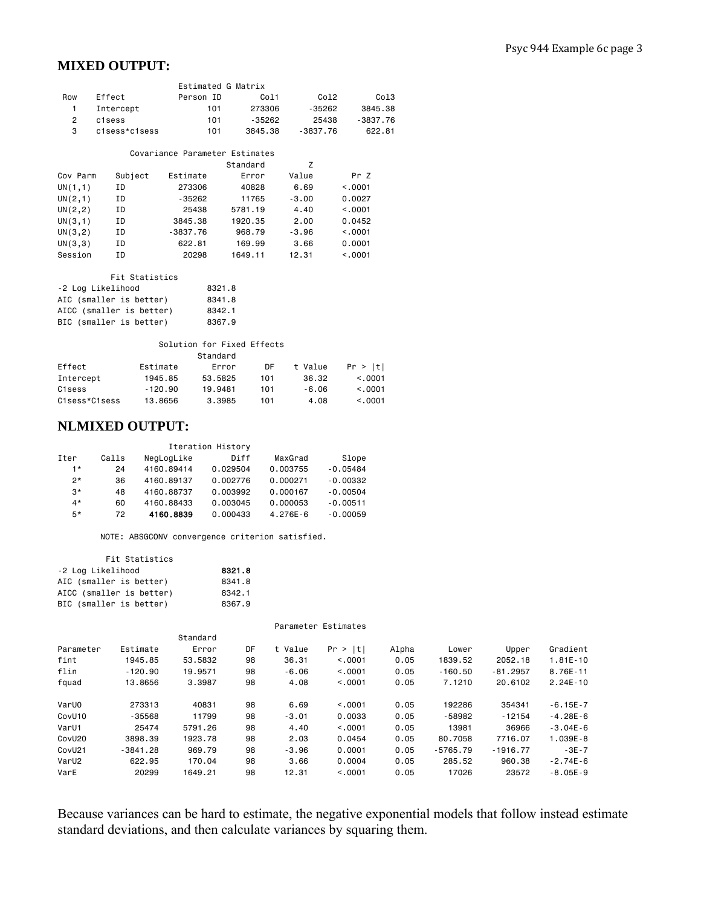# **MIXED OUTPUT:**

|     |               | Estimated G Matrix |          |          |          |
|-----|---------------|--------------------|----------|----------|----------|
| Row | Effect        | Person ID          | Col1     | Co12     | Col3     |
|     | Intercept     | 101                | 273306   | -35262   | 3845.38  |
| 2   | c1sess        | 101                | $-35262$ | 25438    | -3837.76 |
| 3   | clsess*clsess | 101                | 3845.38  | -3837.76 | 622.81   |

#### Covariance Parameter Estimates

|          |         |            | Standard | Z       |         |
|----------|---------|------------|----------|---------|---------|
| Cov Parm | Subject | Estimate   | Error    | Value   | Pr Z    |
| UN(1,1)  | ΙD      | 273306     | 40828    | 6.69    | < 0.001 |
| UN(2,1)  | ΙD      | $-35262$   | 11765    | $-3.00$ | 0.0027  |
| UN(2, 2) | ΙD      | 25438      | 5781.19  | 4.40    | < 0.001 |
| UN(3,1)  | ΙD      | 3845.38    | 1920.35  | 2.00    | 0.0452  |
| UN(3,2)  | ΙD      | $-3837.76$ | 968.79   | $-3.96$ | < 0001  |
| UN(3,3)  | ΙD      | 622.81     | 169.99   | 3.66    | 0.0001  |
| Session  | ΙD      | 20298      | 1649.11  | 12.31   | < 0.001 |

#### Fit Statistics

| -2 Log Likelihood        | 8321.8 |
|--------------------------|--------|
| AIC (smaller is better)  | 8341.8 |
| AICC (smaller is better) | 8342.1 |
| BIC (smaller is better)  | 8367.9 |

#### Solution for Fixed Effects

|               |           | Standard |     |         |         |
|---------------|-----------|----------|-----|---------|---------|
| Effect        | Estimate  | Error    | DF  | t Value | Pr >  t |
| Intercept     | 1945.85   | 53.5825  | 101 | 36.32   | < 0.001 |
| C1sess        | $-120.90$ | 19.9481  | 101 | $-6.06$ | < 0.001 |
| C1sess*C1sess | 13.8656   | 3.3985   | 101 | 4.08    | < 0.001 |

### **NLMIXED OUTPUT:**

| Iteration History |       |            |          |              |            |  |  |
|-------------------|-------|------------|----------|--------------|------------|--|--|
| Iter              | Calls | NegLogLike | Diff     | MaxGrad      | Slope      |  |  |
| 1*                | 24    | 4160.89414 | 0.029504 | 0.003755     | $-0.05484$ |  |  |
| ク*                | 36    | 4160.89137 | 0.002776 | 0.000271     | $-0.00332$ |  |  |
| $3*$              | 48    | 4160.88737 | 0.003992 | 0.000167     | $-0.00504$ |  |  |
| $4*$              | 60    | 4160.88433 | 0.003045 | 0.000053     | $-0.00511$ |  |  |
| $5*$              | 72    | 4160.8839  | 0.000433 | $4.276E - 6$ | $-0.00059$ |  |  |

NOTE: ABSGCONV convergence criterion satisfied.

| Fit Statistics           |        |
|--------------------------|--------|
| -2 Log Likelihood        | 8321.8 |
| AIC (smaller is better)  | 8341.8 |
| AICC (smaller is better) | 8342.1 |
| BIC (smaller is better)  | 8367.9 |

Parameter Estimates

|                    |            | Standard |    |         |         |       |            |            |              |
|--------------------|------------|----------|----|---------|---------|-------|------------|------------|--------------|
| Parameter          | Estimate   | Error    | DF | t Value | Pr >  t | Alpha | Lower      | Upper      | Gradient     |
| fint               | 1945.85    | 53.5832  | 98 | 36.31   | < 0.001 | 0.05  | 1839.52    | 2052.18    | $1.81E - 10$ |
| flin               | $-120.90$  | 19.9571  | 98 | $-6.06$ | < 0001  | 0.05  | $-160.50$  | $-81.2957$ | 8.76E-11     |
| fquad              | 13,8656    | 3.3987   | 98 | 4.08    | < 0001  | 0.05  | 7.1210     | 20,6102    | $2.24E - 10$ |
| VarUO              | 273313     | 40831    | 98 | 6.69    | < 0.001 | 0.05  | 192286     | 354341     | $-6.15E - 7$ |
| CovU10             | $-35568$   | 11799    | 98 | $-3.01$ | 0.0033  | 0.05  | $-58982$   | $-12154$   | $-4.28E - 6$ |
| VarU1              | 25474      | 5791.26  | 98 | 4.40    | < 0001  | 0.05  | 13981      | 36966      | $-3.04E - 6$ |
| CovU <sub>20</sub> | 3898.39    | 1923.78  | 98 | 2.03    | 0.0454  | 0.05  | 80.7058    | 7716.07    | $1.039E - 8$ |
| CovU21             | $-3841.28$ | 969.79   | 98 | $-3.96$ | 0.0001  | 0.05  | $-5765.79$ | $-1916.77$ | $-3E-7$      |
| VarU2              | 622.95     | 170.04   | 98 | 3.66    | 0.0004  | 0.05  | 285.52     | 960.38     | $-2.74E - 6$ |
| VarE               | 20299      | 1649.21  | 98 | 12.31   | < 0001  | 0.05  | 17026      | 23572      | $-8.05E-9$   |

Because variances can be hard to estimate, the negative exponential models that follow instead estimate standard deviations, and then calculate variances by squaring them.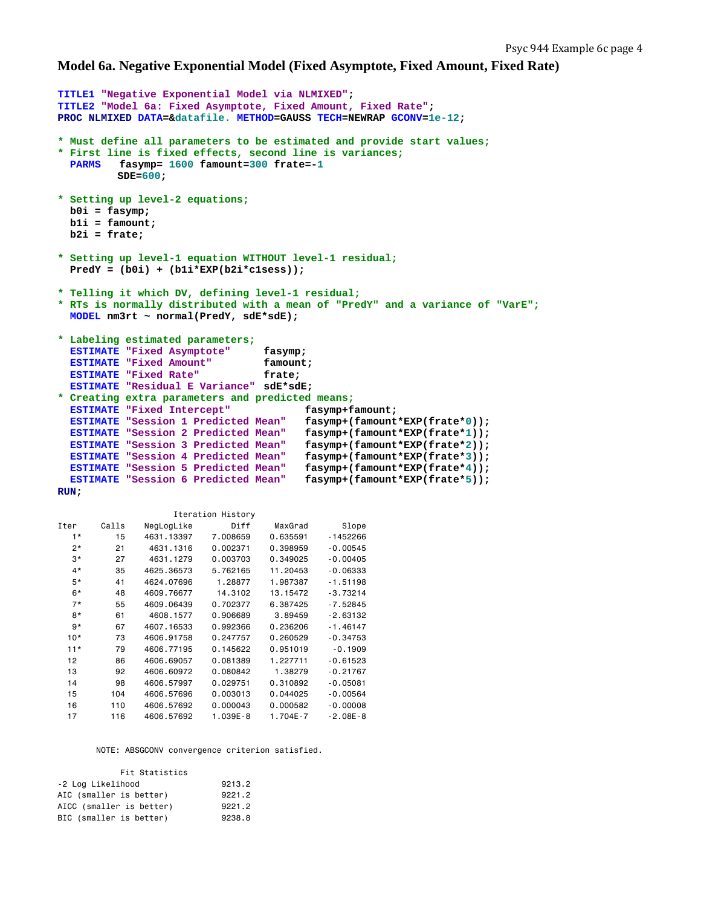### **Model 6a. Negative Exponential Model (Fixed Asymptote, Fixed Amount, Fixed Rate)**

```
TITLE1 "Negative Exponential Model via NLMIXED"; 
TITLE2 "Model 6a: Fixed Asymptote, Fixed Amount, Fixed Rate"; 
PROC NLMIXED DATA=&datafile. METHOD=GAUSS TECH=NEWRAP GCONV=1e-12; 
* Must define all parameters to be estimated and provide start values;
* First line is fixed effects, second line is variances;
  PARMS fasymp= 1600 famount=300 frate=-1 
          SDE=600; 
* Setting up level-2 equations;
  b0i = fasymp; 
  b1i = famount; 
  b2i = frate; 
* Setting up level-1 equation WITHOUT level-1 residual;
  PredY = (b0i) + (b1i*EXP(b2i*c1sess)); 
* Telling it which DV, defining level-1 residual;
* RTs is normally distributed with a mean of "PredY" and a variance of "VarE";
  MODEL nm3rt ~ normal(PredY, sdE*sdE); 
* Labeling estimated parameters;
  ESTIMATE "Fixed Asymptote" fasymp; 
   ESTIMATE "Fixed Amount" famount; 
  ESTIMATE "Fixed Rate" frate;
   ESTIMATE "Residual E Variance" sdE*sdE; 
* Creating extra parameters and predicted means;
  ESTIMATE "Fixed Intercept" fasymp+famount; 
 ESTIMATE "Session 1 Predicted Mean"
  ESTIMATE "Session 2 Predicted Mean" fasymp+(famount*EXP(frate*1)); 
  ESTIMATE "Session 3 Predicted Mean" fasymp+(famount*EXP(frate*2)); 
  ESTIMATE "Session 4 Predicted Mean" fasymp+(famount*EXP(frate*3)); 
  ESTIMATE "Session 5 Predicted Mean" fasymp+(famount*EXP(frate*4)); 
  ESTIMATE "Session 6 Predicted Mean" fasymp+(famount*EXP(frate*5)); 
RUN;
```

|       |       |            | TTEL STION LIPTOLA |              |            |
|-------|-------|------------|--------------------|--------------|------------|
| Iter  | Calls | NegLogLike | Diff               | MaxGrad      | Slope      |
| $1*$  | 15    | 4631.13397 | 7.008659           | 0.635591     | $-1452266$ |
| $2*$  | 21    | 4631.1316  | 0.002371           | 0.398959     | $-0.00545$ |
| $3*$  | 27    | 4631.1279  | 0.003703           | 0.349025     | $-0.00405$ |
| $4*$  | 35    | 4625.36573 | 5.762165           | 11.20453     | $-0.06333$ |
| $5*$  | 41    | 4624.07696 | 1.28877            | 1.987387     | $-1.51198$ |
| 6*    | 48    | 4609.76677 | 14.3102            | 13.15472     | $-3.73214$ |
| $7*$  | 55    | 4609,06439 | 0.702377           | 6.387425     | $-7.52845$ |
| 8*    | 61    | 4608.1577  | 0.906689           | 3.89459      | $-2.63132$ |
| g*    | 67    | 4607.16533 | 0.992366           | 0.236206     | $-1.46147$ |
| $10*$ | 73    | 4606.91758 | 0.247757           | 0.260529     | $-0.34753$ |
| $11*$ | 79    | 4606.77195 | 0.145622           | 0.951019     | $-0.1909$  |
| 12    | 86    | 4606.69057 | 0.081389           | 1.227711     | $-0.61523$ |
| 13    | 92    | 4606,60972 | 0.080842           | 1.38279      | $-0.21767$ |
| 14    | 98    | 4606.57997 | 0.029751           | 0.310892     | $-0.05081$ |
| 15    | 104   | 4606.57696 | 0.003013           | 0.044025     | $-0.00564$ |
| 16    | 110   | 4606.57692 | 0.000043           | 0.000582     | $-0.00008$ |
| 17    | 116   | 4606.57692 | $1.039E - 8$       | $1.704E - 7$ | $-2.08E-8$ |

Iteration History

NOTE: ABSGCONV convergence criterion satisfied.

| Fit Statistics           |        |
|--------------------------|--------|
| -2 Log Likelihood        | 9213.2 |
| AIC (smaller is better)  | 9221.2 |
| AICC (smaller is better) | 9221.2 |
| BIC (smaller is better)  | 9238.8 |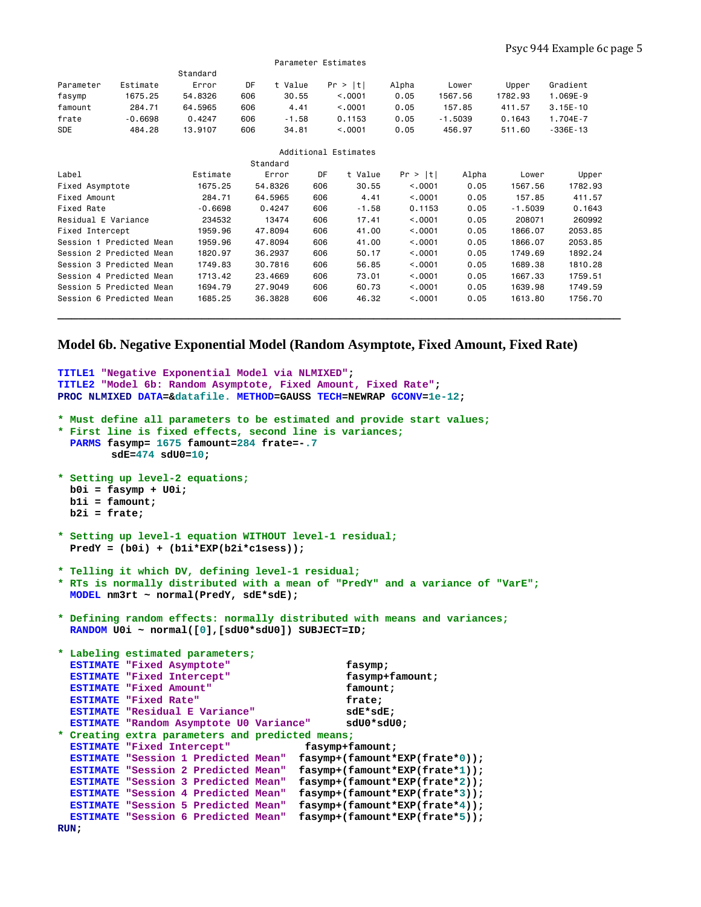|                          |                          | Standard  |         |         |         |         |                 |                  |           |              |  |
|--------------------------|--------------------------|-----------|---------|---------|---------|---------|-----------------|------------------|-----------|--------------|--|
| Parameter                | Estimate                 | Error     | DF      | t Value | Pr >  t |         | Alpha           | Lower            | Upper     | Gradient     |  |
| fasymp                   | 1675.25                  | 54.8326   | 606     | 30.55   |         | < .0001 | 0.05            | 1567.56          | 1782.93   | 1.069E-9     |  |
| famount                  | 284.71                   | 64.5965   | 606     | 4.41    |         | < 0001  | 0.05            | 157.85           | 411.57    | $3.15E - 10$ |  |
| frate                    | $-0.6698$                | 0.4247    | 606     | $-1.58$ |         | 0.1153  | 0.05            | $-1.5039$        | 0.1643    | 1.704E-7     |  |
| <b>SDE</b>               | 484.28                   | 13.9107   | 606     | 34.81   |         | < .0001 | 0.05            | 456.97<br>511.60 |           | $-336E - 13$ |  |
| Additional Estimates     |                          |           |         |         |         |         |                 |                  |           |              |  |
| Standard                 |                          |           |         |         |         |         |                 |                  |           |              |  |
| Label                    |                          | Estimate  |         | Error   | DF      | t Value | Pr >  t         | Alpha            | Lower     | Upper        |  |
| Fixed Asymptote          |                          | 1675.25   | 54.8326 |         | 606     | 30.55   | < .0001         | 0.05             | 1567.56   | 1782.93      |  |
| Fixed Amount             |                          | 284.71    | 64.5965 |         | 606     | 4.41    | < 0.001<br>0.05 |                  | 157.85    | 411.57       |  |
| <b>Fixed Rate</b>        |                          | $-0.6698$ | 0.4247  |         | 606     | $-1.58$ | 0.1153<br>0.05  |                  | $-1.5039$ | 0.1643       |  |
| Residual E Variance      |                          | 234532    |         | 13474   | 606     | 17.41   | < .0001<br>0.05 |                  | 208071    | 260992       |  |
| Fixed Intercept          |                          | 1959.96   | 47.8094 |         | 606     | 41.00   | < .0001<br>0.05 |                  | 1866.07   | 2053.85      |  |
| Session 1 Predicted Mean |                          | 1959.96   | 47.8094 |         | 606     | 41.00   | < 0.001<br>0.05 |                  | 1866.07   | 2053.85      |  |
|                          | Session 2 Predicted Mean | 1820.97   | 36.2937 |         | 606     | 50.17   | < .0001         | 0.05             | 1749.69   | 1892.24      |  |
|                          | Session 3 Predicted Mean | 1749.83   | 30.7816 |         | 606     | 56.85   | < .0001         | 0.05             | 1689.38   | 1810.28      |  |
|                          | Session 4 Predicted Mean | 1713.42   | 23,4669 |         | 606     | 73.01   | < 0.001         | 0.05             | 1667.33   | 1759.51      |  |
|                          | Session 5 Predicted Mean | 1694.79   | 27.9049 |         | 606     | 60.73   | < 0.001         | 0.05             | 1639.98   | 1749.59      |  |
| Session 6 Predicted Mean |                          | 1685.25   | 36.3828 |         | 606     | 46.32   | < .0001         | 0.05             | 1613.80   | 1756.70      |  |
|                          |                          |           |         |         |         |         |                 |                  |           |              |  |
|                          |                          |           |         |         |         |         |                 |                  |           |              |  |

Parameter Estimates

### **Model 6b. Negative Exponential Model (Random Asymptote, Fixed Amount, Fixed Rate)**

```
TITLE1 "Negative Exponential Model via NLMIXED"; 
TITLE2 "Model 6b: Random Asymptote, Fixed Amount, Fixed Rate"; 
PROC NLMIXED DATA=&datafile. METHOD=GAUSS TECH=NEWRAP GCONV=1e-12; 
* Must define all parameters to be estimated and provide start values;
* First line is fixed effects, second line is variances;
   PARMS fasymp= 1675 famount=284 frate=-.7 
         sdE=474 sdU0=10; 
* Setting up level-2 equations;
  b0i = fasymp + U0i; 
  b1i = famount; 
  b2i = frate; 
* Setting up level-1 equation WITHOUT level-1 residual;
   PredY = (b0i) + (b1i*EXP(b2i*c1sess)); 
* Telling it which DV, defining level-1 residual;
* RTs is normally distributed with a mean of "PredY" and a variance of "VarE";
  MODEL nm3rt ~ normal(PredY, sdE*sdE); 
* Defining random effects: normally distributed with means and variances;
  RANDOM U0i ~ normal([0],[sdU0*sdU0]) SUBJECT=ID; 
* Labeling estimated parameters;
   ESTIMATE "Fixed Asymptote" fasymp; 
  ESTIMATE "Fixed Intercept" fasymp+famount;
  ESTIMATE "Fixed Amount" famount; 
 ESTIMATE "Fixed Rate" frate;
  ESTIMATE "Residual E Variance" sdE*sdE; 
  ESTIMATE "Random Asymptote U0 Variance" sdU0*sdU0; 
* Creating extra parameters and predicted means;
 ESTIMATE "Fixed Intercept" fasymp+famount;
  ESTIMATE "Session 1 Predicted Mean" fasymp+(famount*EXP(frate*0)); 
   ESTIMATE "Session 2 Predicted Mean" fasymp+(famount*EXP(frate*1)); 
  ESTIMATE "Session 3 Predicted Mean" fasymp+(famount*EXP(frate*2)); 
  ESTIMATE "Session 4 Predicted Mean" fasymp+(famount*EXP(frate*3)); 
  ESTIMATE "Session 5 Predicted Mean" fasymp+(famount*EXP(frate*4)); 
   ESTIMATE "Session 6 Predicted Mean" fasymp+(famount*EXP(frate*5)); 
RUN;
```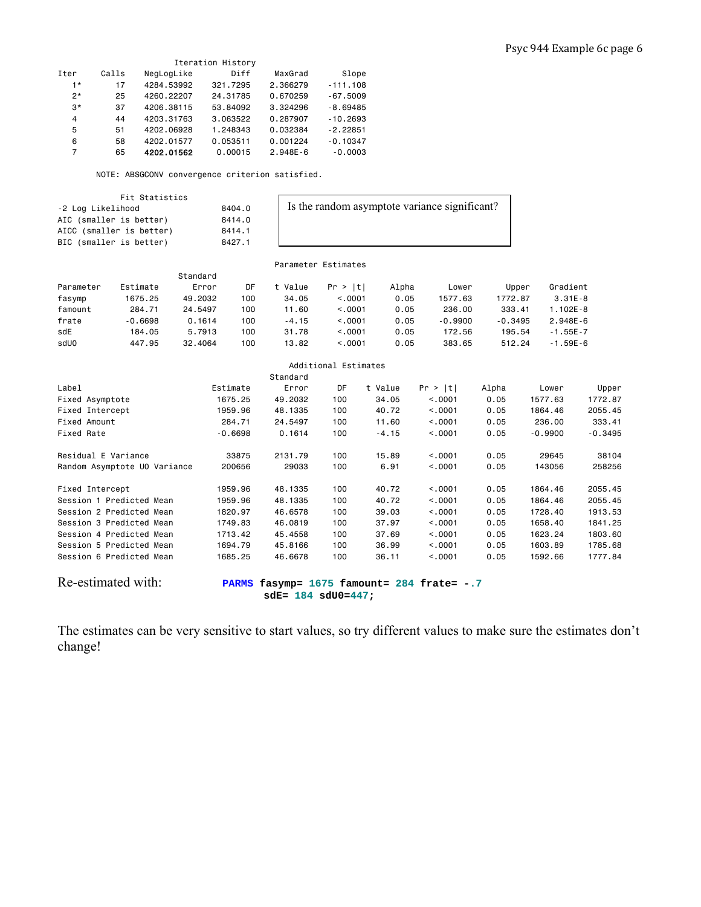| Iteration History |       |            |          |              |            |  |  |  |  |  |
|-------------------|-------|------------|----------|--------------|------------|--|--|--|--|--|
| Iter              | Calls | NegLogLike | Diff     | MaxGrad      | Slope      |  |  |  |  |  |
| $1*$              | 17    | 4284.53992 | 321.7295 | 2.366279     | $-111.108$ |  |  |  |  |  |
| $2*$              | 25    | 4260.22207 | 24.31785 | 0.670259     | $-67.5009$ |  |  |  |  |  |
| $3*$              | 37    | 4206.38115 | 53.84092 | 3.324296     | $-8.69485$ |  |  |  |  |  |
| 4                 | 44    | 4203.31763 | 3.063522 | 0.287907     | $-10.2693$ |  |  |  |  |  |
| 5                 | 51    | 4202.06928 | 1.248343 | 0.032384     | $-2.22851$ |  |  |  |  |  |
| 6                 | 58    | 4202.01577 | 0.053511 | 0.001224     | $-0.10347$ |  |  |  |  |  |
| 7                 | 65    | 4202.01562 | 0.00015  | $2.948E - 6$ | $-0.0003$  |  |  |  |  |  |

NOTE: ABSGCONV convergence criterion satisfied.

8404.0 8414.0  $8414.1$ 8427.1

Fit Statistics

| -2 Log Likelihood        |
|--------------------------|
| AIC (smaller is better)  |
| AICC (smaller is better) |
| BIC (smaller is better)  |

Is the random asymptote variance significant?

 Parameter Estimates Standard Parameter Estimate Error DF t Value Pr > |t| Alpha Lower Upper Gradient fasymp 1675.25 49.2032 100 34.05 <.0001 0.05 1577.63 1772.87 3.31E-8 famount 284.71 24.5497 100 11.60 <.0001 0.05 236.00 333.41 1.102E-8 frate -0.6698 0.1614 100 -4.15 <.0001 0.05 -0.9900 -0.3495 2.948E-6 sdE 184.05 5.7913 100 31.78 <.0001 0.05 172.56 195.54 -1.55E-7 sdU0 447.95 32.4064 100 13.82 <.0001 0.05 383.65 512.24 -1.59E-6

| Additional Estimates                                                                                           |           |          |     |         |         |       |           |           |  |
|----------------------------------------------------------------------------------------------------------------|-----------|----------|-----|---------|---------|-------|-----------|-----------|--|
| Standard                                                                                                       |           |          |     |         |         |       |           |           |  |
| Label                                                                                                          | Estimate  | Error    | DF  | t Value | Pr >  t | Alpha | Lower     | Upper     |  |
| Fixed Asymptote                                                                                                | 1675.25   | 49,2032  | 100 | 34.05   | < 0.001 | 0.05  | 1577.63   | 1772.87   |  |
| Fixed Intercept                                                                                                | 1959.96   | 48, 1335 | 100 | 40.72   | < 0.001 | 0.05  | 1864.46   | 2055.45   |  |
| Fixed Amount                                                                                                   | 284.71    | 24.5497  | 100 | 11.60   | < .0001 | 0.05  | 236.00    | 333.41    |  |
| Fixed Rate                                                                                                     | $-0.6698$ | 0.1614   | 100 | $-4.15$ | < 0.001 | 0.05  | $-0.9900$ | $-0.3495$ |  |
| Residual E Variance                                                                                            | 33875     | 2131.79  | 100 | 15.89   | < 0.001 | 0.05  | 29645     | 38104     |  |
| Random Asymptote UO Variance                                                                                   | 200656    | 29033    | 100 | 6.91    | < 0.001 | 0.05  | 143056    | 258256    |  |
| Fixed Intercept                                                                                                | 1959.96   | 48, 1335 | 100 | 40.72   | < 0.001 | 0.05  | 1864.46   | 2055.45   |  |
| Session 1 Predicted Mean                                                                                       | 1959.96   | 48, 1335 | 100 | 40.72   | < 0.001 | 0.05  | 1864.46   | 2055.45   |  |
| Session 2 Predicted Mean                                                                                       | 1820.97   | 46.6578  | 100 | 39.03   | < 0.001 | 0.05  | 1728.40   | 1913.53   |  |
| Session 3 Predicted Mean                                                                                       | 1749.83   | 46,0819  | 100 | 37.97   | < 0001  | 0.05  | 1658.40   | 1841.25   |  |
| Session 4 Predicted Mean                                                                                       | 1713.42   | 45,4558  | 100 | 37.69   | < 0.001 | 0.05  | 1623.24   | 1803.60   |  |
| Session 5 Predicted Mean                                                                                       | 1694.79   | 45,8166  | 100 | 36.99   | < 0.001 | 0.05  | 1603.89   | 1785.68   |  |
| Session 6 Predicted Mean                                                                                       | 1685.25   | 46,6678  | 100 | 36.11   | < 0.001 | 0.05  | 1592.66   | 1777.84   |  |
| Re-estimated with:<br>fasymp= $1675$ famount= $284$ frate= $-.7$<br><b>PARMS</b><br>$sdE = 184$ $sdU0 = 447$ ; |           |          |     |         |         |       |           |           |  |

The estimates can be very sensitive to start values, so try different values to make sure the estimates don't change!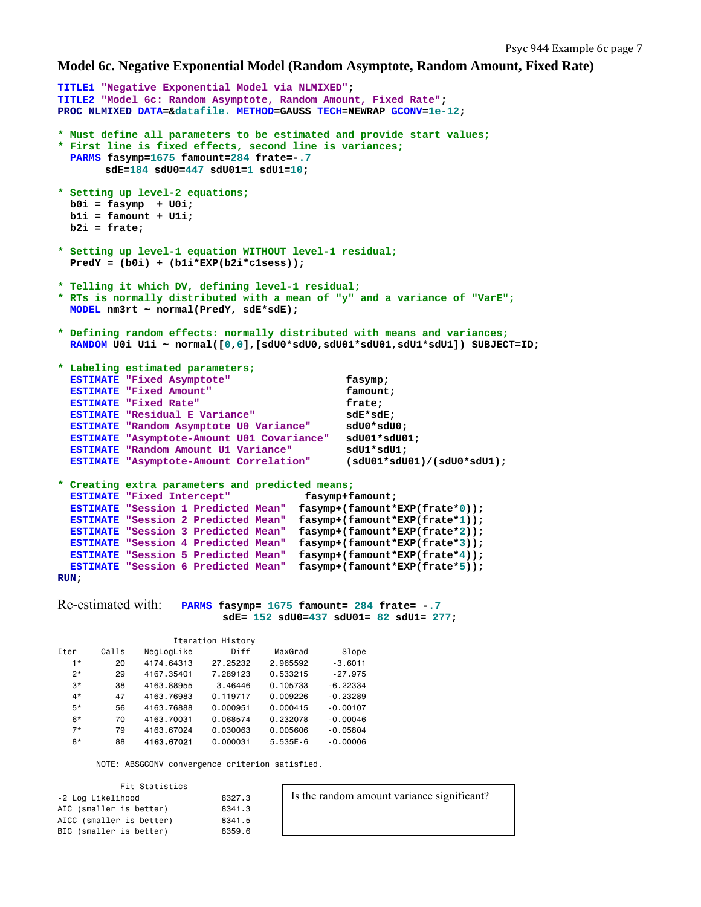### **Model 6c. Negative Exponential Model (Random Asymptote, Random Amount, Fixed Rate)**

```
TITLE1 "Negative Exponential Model via NLMIXED"; 
TITLE2 "Model 6c: Random Asymptote, Random Amount, Fixed Rate"; 
PROC NLMIXED DATA=&datafile. METHOD=GAUSS TECH=NEWRAP GCONV=1e-12; 
* Must define all parameters to be estimated and provide start values;
* First line is fixed effects, second line is variances;
   PARMS fasymp=1675 famount=284 frate=-.7 
         sdE=184 sdU0=447 sdU01=1 sdU1=10; 
* Setting up level-2 equations;
   b0i = fasymp + U0i; 
   b1i = famount + U1i; 
   b2i = frate; 
* Setting up level-1 equation WITHOUT level-1 residual;
   PredY = (b0i) + (b1i*EXP(b2i*c1sess)); 
* Telling it which DV, defining level-1 residual;
* RTs is normally distributed with a mean of "y" and a variance of "VarE";
   MODEL nm3rt ~ normal(PredY, sdE*sdE); 
* Defining random effects: normally distributed with means and variances;
   RANDOM U0i U1i ~ normal([0,0],[sdU0*sdU0,sdU01*sdU01,sdU1*sdU1]) SUBJECT=ID; 
* Labeling estimated parameters;
   ESTIMATE "Fixed Asymptote" fasymp; 
   ESTIMATE "Fixed Amount" famount; 
  ESTIMATE "Fixed Rate" frate:
   ESTIMATE "Residual E Variance" sdE*sdE; 
  ESTIMATE "Random Asymptote U0 Variance"
   ESTIMATE "Asymptote-Amount U01 Covariance" sdU01*sdU01; 
   ESTIMATE "Random Amount U1 Variance" sdU1*sdU1; 
   ESTIMATE "Asymptote-Amount Correlation" (sdU01*sdU01)/(sdU0*sdU1); 
* Creating extra parameters and predicted means;
  ESTIMATE "Fixed Intercept" fasymp+famount;
 ESTIMATE "Session 1 Predicted Mean" fasymp+(famount*EXP(frate*0)); 
 ESTIMATE "Session 2 Predicted Mean" fasymp+(famount*EXP(frate*1)); 
 ESTIMATE "Session 3 Predicted Mean" fasymp+(famount*EXP(frate*2)); 
 ESTIMATE "Session 4 Predicted Mean" fasymp+(famount*EXP(frate*3)); 
   ESTIMATE "Session 5 Predicted Mean" fasymp+(famount*EXP(frate*4)); 
   ESTIMATE "Session 6 Predicted Mean" fasymp+(famount*EXP(frate*5)); 
RUN; 
Re-estimated with: PARMS fasymp= 1675 famount= 284 frate= -.7 
                            sdE= 152 sdU0=437 sdU01= 82 sdU1= 277; 
                    Iteration History 
Iter Calls NegLogLike Diff MaxGrad Slope 
   1* 20 4174.64313 27.25232 2.965592 -3.6011 
         2* 29 4167.35401 7.289123 0.533215 -27.975 
  3* 38 4163.88955 3.46446 0.105733<br>4* 47 4163.76983 0.119717 0.009226
                        0.119717  0.009226 -0.23289
   5* 56 4163.76888 0.000951 0.000415 -0.00107 
   6* 70 4163.70031 0.068574 0.232078 -0.00046 
  7* 79 4163.67024 0.030063 0.005606 -0.05804<br>8* 88 4163.67021 0.000031 5.535E-6 -0.00006
  8* 88 4163.67021 0.000031 5.535E-6
       NOTE: ABSGCONV convergence criterion satisfied. 
           Fit Statistics 
-2 Log Likelihood 8327.3 
AIC (smaller is better) 8341.3<br>AICC (smaller is better) 8341.5
                                       Is the random amount variance significant?
```
AICC (smaller is better) 8341.5<br>BIC (smaller is better) 8359.6

BIC (smaller is better)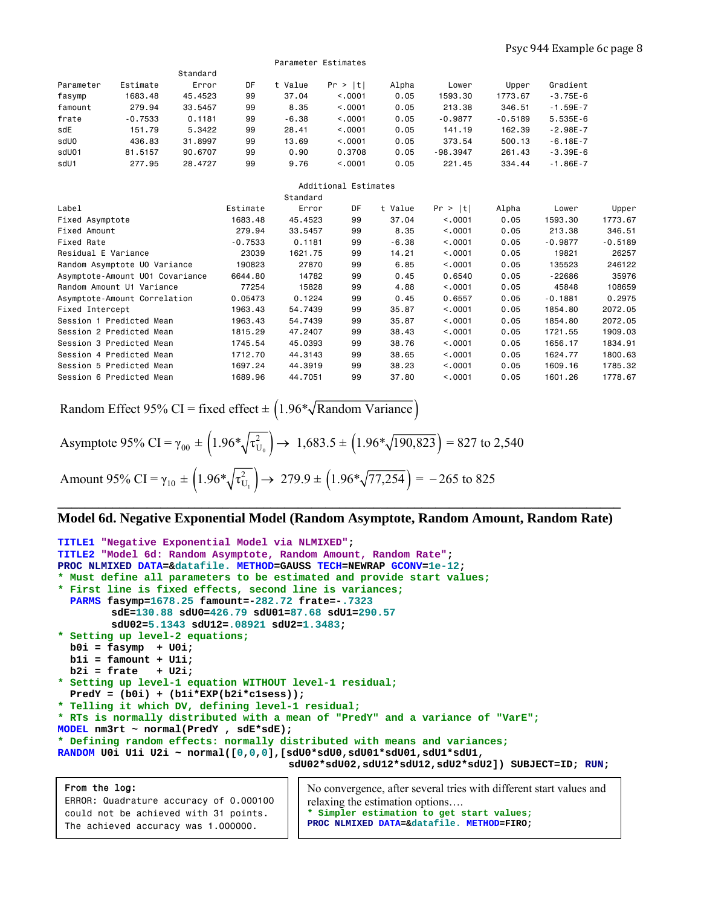Standard Parameter Estimate Error DF t Value Pr > |t| Alpha Lower Upper Gradient fasymp 1683.48 45.4523 99 37.04 <.0001 0.05 1593.30 1773.67 -3.75E-6 famount 279.94 33.5457 99 8.35 <.0001 0.05 213.38 346.51 -1.59E-7 frate -0.7533 0.1181 99 -6.38 <.0001 0.05 -0.9877 -0.5189 5.535E-6 sdE 151.79 5.3422 99 28.41 <.0001 0.05 141.19 162.39 -2.98E-7 sdU0 436.83 31.8997 99 13.69 <.0001 0.05 373.54 500.13 -6.18E-7 sdU01 81.5157 90.6707 99 0.90 0.3708 0.05 -98.3947 261.43 -3.39E-6 sdU1 277.95 28.4727 99 9.76 <.0001 0.05 221.45 334.44 -1.86E-7 Additional Estimates Standard Label Estimate Error DF t Value Pr > |t| Alpha Lower Upper Fixed Asymptote 1683.48 45.4523 99 37.04 <.0001 0.05 1593.30 1773.67 Fixed Amount 279.94 33.5457 99 8.35 <.0001 0.05 213.38 346.51 Fixed Rate -0.7533 0.1181 99 -6.38 <.0001 0.05 -0.9877 -0.5189 Residual E Variance 23039 1621.75 99 14.21 <.0001 0.05 19821 26257 Random Asymptote U0 Variance 190823 27870 99 6.85 <.0001 0.05 135523 246122 Asymptote-Amount U01 Covariance 6644.80 14782 99 0.45 0.6540 0.05 -22686 35976 Random Amount U1 Variance 77254 15828 99 4.88 <.0001 0.05 45848 108659 Asymptote-Amount Correlation 0.05473 0.1224 99 0.45 0.6557 0.05 -0.1881 0.2975 Fixed Intercept 1963.43 54.7439 99 35.87 <.0001 0.05 1854.80 2072.05 Session 1 Predicted Mean 1963.43 54.7439 99 35.87 <.0001 0.05 1854.80 2072.05 Session 2 Predicted Mean 1815.29 47.2407 99 38.43 <.0001 0.05 1721.55 1909.03 Session 3 Predicted Mean 1745.54 45.0393 99 38.76 <.0001 0.05 1656.17 1834.91 Session 4 Predicted Mean 1712.70 44.3143 99 38.65 <.0001 0.05 1624.77 1800.63<br>Session 5 Predicted Mean 1697.24 44.3919 Session 5 Predicted Mean 1697.24 44.3919 99 38.23 <.0001 0.05 1609.16 1785.32 Session 6 Predicted Mean 1689.96 44.7051 99 37.80 <.0001 0.05

Parameter Estimates

Random Effect 95% CI = fixed effect  $\pm$  (1.96\* $\sqrt{\text{Random Variance}}$ )

Asymptote 95% CI = 
$$
\gamma_{00} \pm \left(1.96*\sqrt{\tau_{U_0}^2}\right) \rightarrow 1,683.5 \pm \left(1.96*\sqrt{190,823}\right) = 827
$$
 to 2,540  
Amount 95% CI =  $\gamma_{10} \pm \left(1.96*\sqrt{\tau_{U_1}^2}\right) \rightarrow 279.9 \pm \left(1.96*\sqrt{77,254}\right) = -265$  to 825

## **\_\_\_\_\_\_\_\_\_\_\_\_\_\_\_\_\_\_\_\_\_\_\_\_\_\_\_\_\_\_\_\_\_\_\_\_\_\_\_\_\_\_\_\_\_\_\_\_\_\_\_\_\_\_\_\_\_\_\_\_\_\_\_\_\_\_\_\_\_\_\_\_\_\_\_\_\_\_\_\_\_\_ Model 6d. Negative Exponential Model (Random Asymptote, Random Amount, Random Rate)**

```
TITLE1 "Negative Exponential Model via NLMIXED"; 
TITLE2 "Model 6d: Random Asymptote, Random Amount, Random Rate"; 
PROC NLMIXED DATA=&datafile. METHOD=GAUSS TECH=NEWRAP GCONV=1e-12; 
* Must define all parameters to be estimated and provide start values;
* First line is fixed effects, second line is variances;
   PARMS fasymp=1678.25 famount=-282.72 frate=-.7323 
          sdE=130.88 sdU0=426.79 sdU01=87.68 sdU1=290.57
          sdU02=5.1343 sdU12=.08921 sdU2=1.3483; 
* Setting up level-2 equations;
   b0i = fasymp + U0i; 
   b1i = famount + U1i; 
   b2i = frate + U2i; 
* Setting up level-1 equation WITHOUT level-1 residual;
   PredY = (b0i) + (b1i*EXP(b2i*c1sess)); 
* Telling it which DV, defining level-1 residual;
* RTs is normally distributed with a mean of "PredY" and a variance of "VarE";
MODEL nm3rt ~ normal(PredY , sdE*sdE); 
* Defining random effects: normally distributed with means and variances;
RANDOM U0i U1i U2i ~ normal([0,0,0],[sdU0*sdU0,sdU01*sdU01,sdU1*sdU1, 
                                       sdU02*sdU02,sdU12*sdU12,sdU2*sdU2]) SUBJECT=ID; RUN;
```
From the log: ERROR: Quadrature accuracy of 0.000100 could not be achieved with 31 points. The achieved accuracy was 1.000000. No convergence, after several tries with different start values and relaxing the estimation options…. **\* Simpler estimation to get start values; PROC NLMIXED DATA=&datafile. METHOD=FIRO;**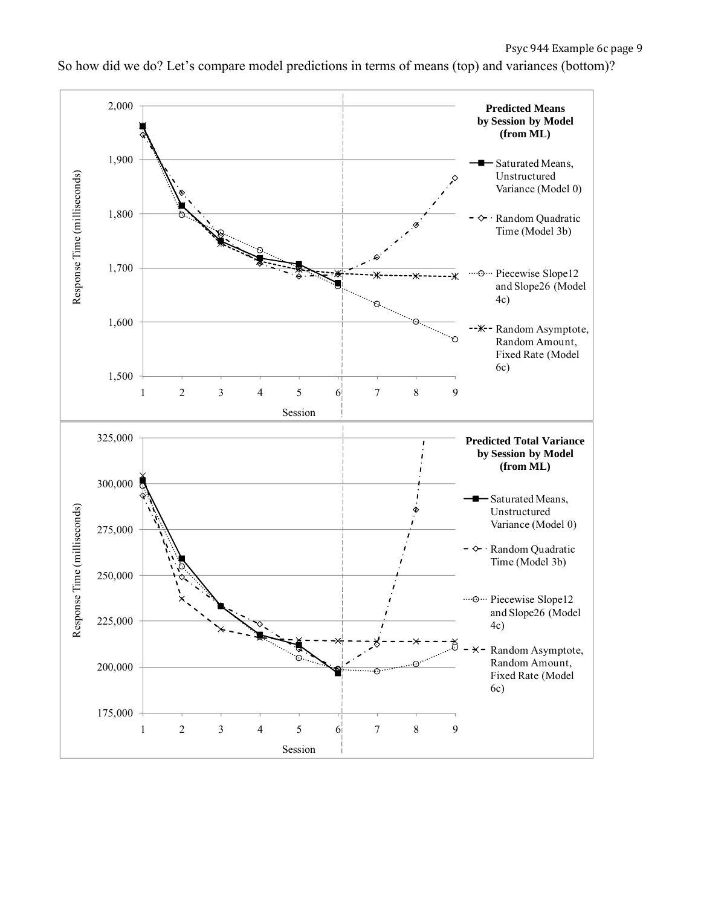

So how did we do? Let's compare model predictions in terms of means (top) and variances (bottom)?